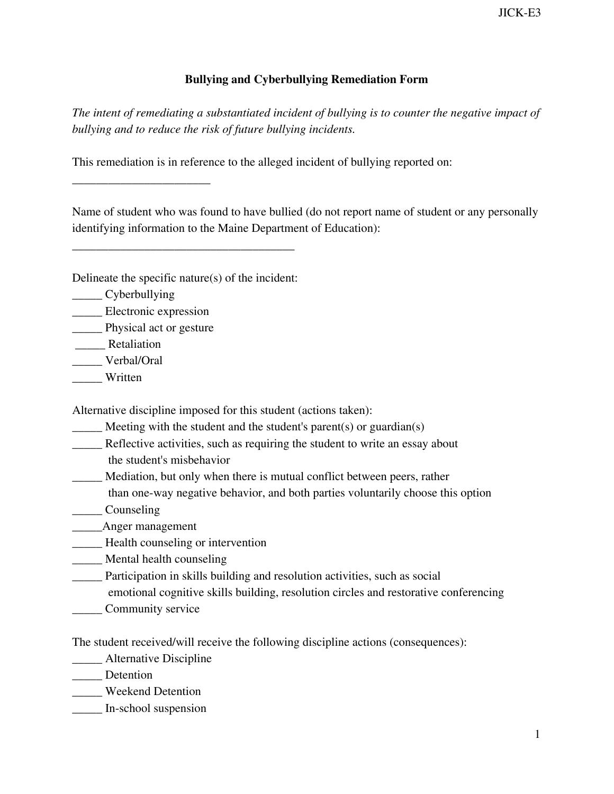## **Bullying and Cyberbullying Remediation Form**

*The intent of remediating a substantiated incident of bullying is to counter the negative impact of bullying and to reduce the risk of future bullying incidents.*

This remediation is in reference to the alleged incident of bullying reported on:

Name of student who was found to have bullied (do not report name of student or any personally identifying information to the Maine Department of Education):

Delineate the specific nature(s) of the incident:

\_\_\_\_\_\_\_\_\_\_\_\_\_\_\_\_\_\_\_\_\_\_\_\_\_\_\_\_\_\_\_\_\_\_\_\_\_

\_\_\_\_\_ Cyberbullying

\_\_\_\_\_ Electronic expression

\_\_\_\_\_\_\_\_\_\_\_\_\_\_\_\_\_\_\_\_\_\_\_

\_\_\_\_\_ Physical act or gesture

\_\_\_\_\_ Retaliation

\_\_\_\_\_ Verbal/Oral

\_\_\_\_\_ Written

Alternative discipline imposed for this student (actions taken):

 $\frac{1}{\sqrt{2}}$  Meeting with the student and the student's parent(s) or guardian(s)

\_\_\_\_\_ Reflective activities, such as requiring the student to write an essay about the student's misbehavior

\_\_\_\_\_ Mediation, but only when there is mutual conflict between peers, rather

- than one-way negative behavior, and both parties voluntarily choose this option
- \_\_\_\_\_ Counseling

\_\_\_\_\_Anger management

- \_\_\_\_\_ Health counseling or intervention
- \_\_\_\_\_ Mental health counseling
- \_\_\_\_\_ Participation in skills building and resolution activities, such as social
- emotional cognitive skills building, resolution circles and restorative conferencing
- **Community service**

The student received/will receive the following discipline actions (consequences):

\_\_\_\_\_ Alternative Discipline

\_\_\_\_\_ Detention

\_\_\_\_\_ Weekend Detention

\_\_\_\_\_ In-school suspension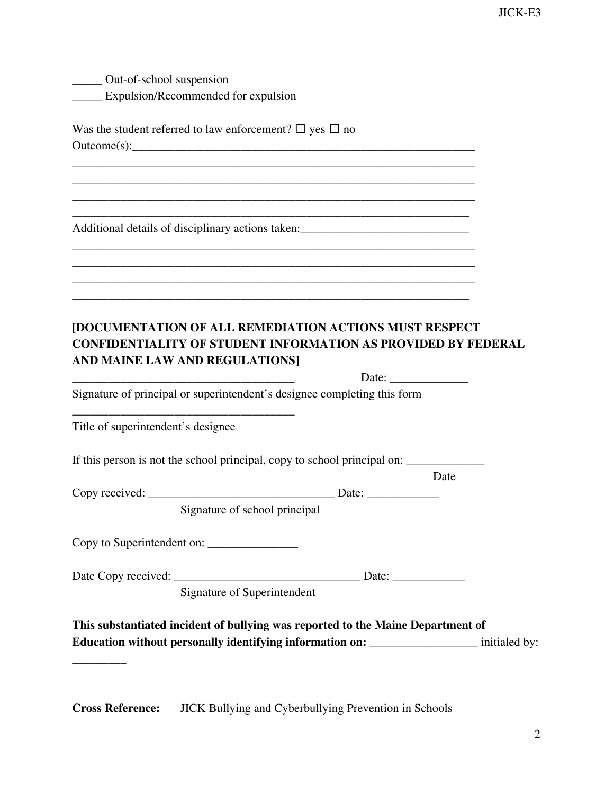\_\_\_\_\_ Out-of-school suspension \_\_\_\_\_ Expulsion/Recommended for expulsion

| Was the student referred to law enforcement? $\square$ yes $\square$ no |
|-------------------------------------------------------------------------|
| Outcome(s):                                                             |

 $\overline{\phantom{a}}$  , and the contract of the contract of the contract of the contract of the contract of the contract of the contract of the contract of the contract of the contract of the contract of the contract of the contrac  $\overline{\phantom{a}}$  , and the contract of the contract of the contract of the contract of the contract of the contract of the contract of the contract of the contract of the contract of the contract of the contract of the contrac  $\overline{\phantom{a}}$  , and the contract of the contract of the contract of the contract of the contract of the contract of the contract of the contract of the contract of the contract of the contract of the contract of the contrac  $\overline{\phantom{a}}$  , and the contract of the contract of the contract of the contract of the contract of the contract of the contract of the contract of the contract of the contract of the contract of the contract of the contrac

 $\overline{\phantom{a}}$  , and the contract of the contract of the contract of the contract of the contract of the contract of the contract of the contract of the contract of the contract of the contract of the contract of the contrac  $\overline{\phantom{a}}$  , and the contract of the contract of the contract of the contract of the contract of the contract of the contract of the contract of the contract of the contract of the contract of the contract of the contrac  $\overline{\phantom{a}}$  , and the contract of the contract of the contract of the contract of the contract of the contract of the contract of the contract of the contract of the contract of the contract of the contract of the contrac  $\overline{\phantom{a}}$  , and the contract of the contract of the contract of the contract of the contract of the contract of the contract of the contract of the contract of the contract of the contract of the contract of the contrac

Additional details of disciplinary actions taken: \_\_\_\_\_\_\_\_\_\_\_\_\_\_\_\_\_\_\_\_\_\_\_\_\_\_\_\_\_\_

## **[DOCUMENTATION OF ALL REMEDIATION ACTIONS MUST RESPECT CONFIDENTIALITY OF STUDENT INFORMATION AS PROVIDED BY FEDERAL AND MAINE LAW AND REGULATIONS]**

Date:

Signature of principal or superintendent's designee completing this form

Title of superintendent's designee

 $\overline{\phantom{a}}$ 

If this person is not the school principal, copy to school principal on: \_\_\_\_\_\_\_\_\_\_\_\_\_\_

|                | Jate  |
|----------------|-------|
| Copy received: | Date: |

Signature of school principal

Copy to Superintendent on: \_\_\_\_\_\_\_\_\_\_\_\_\_\_\_

\_\_\_\_\_\_\_\_\_\_\_\_\_\_\_\_\_\_\_\_\_\_\_\_\_\_\_\_\_\_\_\_\_\_\_\_\_

| Date Copy received: |  |  |
|---------------------|--|--|
|---------------------|--|--|

Signature of Superintendent

**This substantiated incident of bullying was reported to the Maine Department of Education without personally identifying information on:** \_\_\_\_\_\_\_\_\_\_\_\_\_\_\_\_\_\_ initialed by:

**Cross Reference:** JICK Bullying and Cyberbullying Prevention in Schools